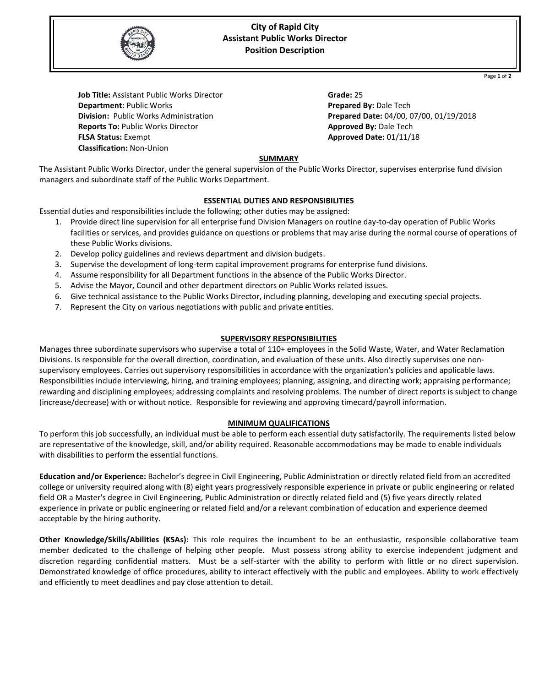

# **City of Rapid City Assistant Public Works Director Position Description**

Page **1** of **2**

**Job Title:** Assistant Public Works Director **Department:** Public Works **Division:** Public Works Administration **Reports To:** Public Works Director **FLSA Status:** Exempt  **Classification:** Non-Union

**Grade:** 25 **Prepared By:** Dale Tech **Prepared Date:** 04/00, 07/00, 01/19/2018 **Approved By:** Dale Tech **Approved Date:** 01/11/18

# **SUMMARY**

The Assistant Public Works Director, under the general supervision of the Public Works Director, supervises enterprise fund division managers and subordinate staff of the Public Works Department.

# **ESSENTIAL DUTIES AND RESPONSIBILITIES**

Essential duties and responsibilities include the following; other duties may be assigned:

- 1. Provide direct line supervision for all enterprise fund Division Managers on routine day-to-day operation of Public Works facilities or services, and provides guidance on questions or problems that may arise during the normal course of operations of these Public Works divisions.
- 2. Develop policy guidelines and reviews department and division budgets.
- 3. Supervise the development of long-term capital improvement programs for enterprise fund divisions.
- 4. Assume responsibility for all Department functions in the absence of the Public Works Director.
- 5. Advise the Mayor, Council and other department directors on Public Works related issues.
- 6. Give technical assistance to the Public Works Director, including planning, developing and executing special projects.
- 7. Represent the City on various negotiations with public and private entities.

#### **SUPERVISORY RESPONSIBILITIES**

Manages three subordinate supervisors who supervise a total of 110+ employees in the Solid Waste, Water, and Water Reclamation Divisions. Is responsible for the overall direction, coordination, and evaluation of these units. Also directly supervises one nonsupervisory employees. Carries out supervisory responsibilities in accordance with the organization's policies and applicable laws. Responsibilities include interviewing, hiring, and training employees; planning, assigning, and directing work; appraising performance; rewarding and disciplining employees; addressing complaints and resolving problems. The number of direct reports is subject to change (increase/decrease) with or without notice. Responsible for reviewing and approving timecard/payroll information.

# **MINIMUM QUALIFICATIONS**

To perform this job successfully, an individual must be able to perform each essential duty satisfactorily. The requirements listed below are representative of the knowledge, skill, and/or ability required. Reasonable accommodations may be made to enable individuals with disabilities to perform the essential functions.

**Education and/or Experience:** Bachelor's degree in Civil Engineering, Public Administration or directly related field from an accredited college or university required along with (8) eight years progressively responsible experience in private or public engineering or related field OR a Master's degree in Civil Engineering, Public Administration or directly related field and (5) five years directly related experience in private or public engineering or related field and/or a relevant combination of education and experience deemed acceptable by the hiring authority.

**Other Knowledge/Skills/Abilities (KSAs):** This role requires the incumbent to be an enthusiastic, responsible collaborative team member dedicated to the challenge of helping other people. Must possess strong ability to exercise independent judgment and discretion regarding confidential matters. Must be a self-starter with the ability to perform with little or no direct supervision. Demonstrated knowledge of office procedures, ability to interact effectively with the public and employees. Ability to work effectively and efficiently to meet deadlines and pay close attention to detail.